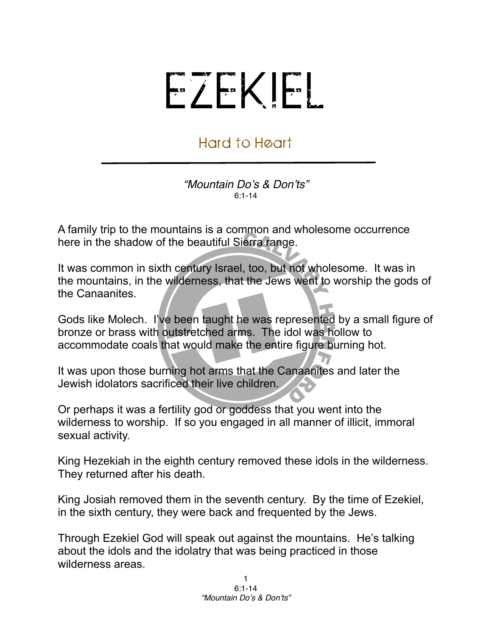## EZEKIEL

## Hard to Heart

*"Mountain Do*'*s & Don*'*ts"* 6:1-14

A family trip to the mountains is a common and wholesome occurrence here in the shadow of the beautiful Sierra range.

It was common in sixth century Israel, too, but not wholesome. It was in the mountains, in the wilderness, that the Jews went to worship the gods of the Canaanites.

Gods like Molech. I've been taught he was represented by a small figure of bronze or brass with outstretched arms. The idol was hollow to accommodate coals that would make the entire figure burning hot.

It was upon those burning hot arms that the Canaanites and later the Jewish idolators sacrificed their live children.

Or perhaps it was a fertility god or goddess that you went into the wilderness to worship. If so you engaged in all manner of illicit, immoral sexual activity.

King Hezekiah in the eighth century removed these idols in the wilderness. They returned after his death.

King Josiah removed them in the seventh century. By the time of Ezekiel, in the sixth century, they were back and frequented by the Jews.

Through Ezekiel God will speak out against the mountains. He's talking about the idols and the idolatry that was being practiced in those wilderness areas.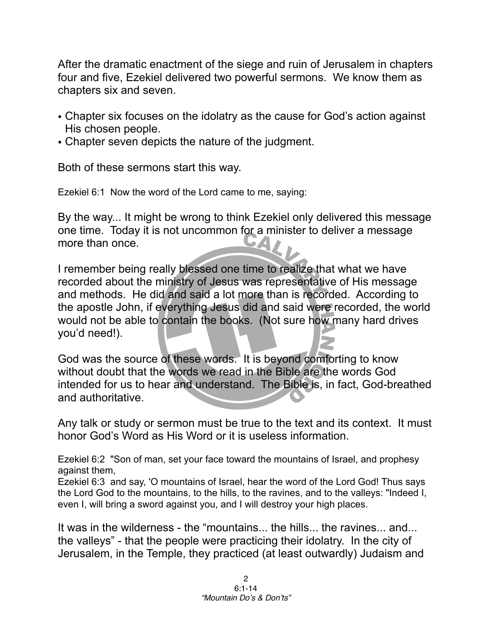After the dramatic enactment of the siege and ruin of Jerusalem in chapters four and five, Ezekiel delivered two powerful sermons. We know them as chapters six and seven.

- Chapter six focuses on the idolatry as the cause for God's action against His chosen people.
- Chapter seven depicts the nature of the judgment.

Both of these sermons start this way.

Ezekiel 6:1 Now the word of the Lord came to me, saying:

By the way... It might be wrong to think Ezekiel only delivered this message one time. Today it is not uncommon for a minister to deliver a message more than once.

I remember being really blessed one time to realize that what we have recorded about the ministry of Jesus was representative of His message and methods. He did and said a lot more than is recorded. According to the apostle John, if everything Jesus did and said were recorded, the world would not be able to contain the books. (Not sure how many hard drives you'd need!).

God was the source of these words. It is beyond comforting to know without doubt that the words we read in the Bible are the words God intended for us to hear and understand. The Bible is, in fact, God-breathed and authoritative.

Any talk or study or sermon must be true to the text and its context. It must honor God's Word as His Word or it is useless information.

Ezekiel 6:2 "Son of man, set your face toward the mountains of Israel, and prophesy against them,

Ezekiel 6:3 and say, 'O mountains of Israel, hear the word of the Lord God! Thus says the Lord God to the mountains, to the hills, to the ravines, and to the valleys: "Indeed I, even I, will bring a sword against you, and I will destroy your high places.

It was in the wilderness - the "mountains... the hills... the ravines... and... the valleys" - that the people were practicing their idolatry. In the city of Jerusalem, in the Temple, they practiced (at least outwardly) Judaism and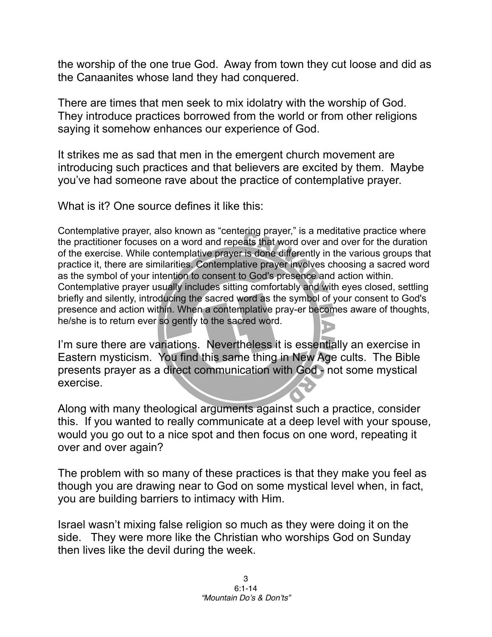the worship of the one true God. Away from town they cut loose and did as the Canaanites whose land they had conquered.

There are times that men seek to mix idolatry with the worship of God. They introduce practices borrowed from the world or from other religions saying it somehow enhances our experience of God.

It strikes me as sad that men in the emergent church movement are introducing such practices and that believers are excited by them. Maybe you've had someone rave about the practice of contemplative prayer.

What is it? One source defines it like this:

Contemplative prayer, also known as "centering prayer," is a meditative practice where the practitioner focuses on a word and repeats that word over and over for the duration of the exercise. While contemplative prayer is done differently in the various groups that practice it, there are similarities. Contemplative prayer involves choosing a sacred word as the symbol of your intention to consent to God's presence and action within. Contemplative prayer usually includes sitting comfortably and with eyes closed, settling briefly and silently, introducing the sacred word as the symbol of your consent to God's presence and action within. When a contemplative pray-er becomes aware of thoughts, he/she is to return ever so gently to the sacred word.

I'm sure there are variations. Nevertheless it is essentially an exercise in Eastern mysticism. You find this same thing in New Age cults. The Bible presents prayer as a direct communication with God - not some mystical exercise.

Along with many theological arguments against such a practice, consider this. If you wanted to really communicate at a deep level with your spouse, would you go out to a nice spot and then focus on one word, repeating it over and over again?

The problem with so many of these practices is that they make you feel as though you are drawing near to God on some mystical level when, in fact, you are building barriers to intimacy with Him.

Israel wasn't mixing false religion so much as they were doing it on the side. They were more like the Christian who worships God on Sunday then lives like the devil during the week.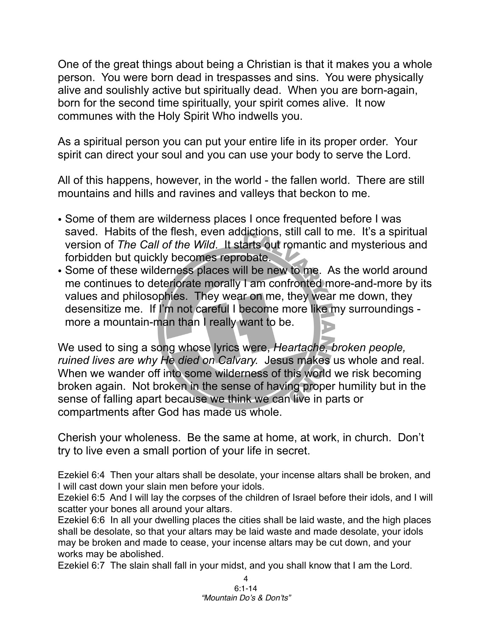One of the great things about being a Christian is that it makes you a whole person. You were born dead in trespasses and sins. You were physically alive and soulishly active but spiritually dead. When you are born-again, born for the second time spiritually, your spirit comes alive. It now communes with the Holy Spirit Who indwells you.

As a spiritual person you can put your entire life in its proper order. Your spirit can direct your soul and you can use your body to serve the Lord.

All of this happens, however, in the world - the fallen world. There are still mountains and hills and ravines and valleys that beckon to me.

- Some of them are wilderness places I once frequented before I was saved. Habits of the flesh, even addictions, still call to me. It's a spiritual version of *The Call of the Wild*. It starts out romantic and mysterious and forbidden but quickly becomes reprobate.
- Some of these wilderness places will be new to me. As the world around me continues to deteriorate morally I am confronted more-and-more by its values and philosophies. They wear on me, they wear me down, they desensitize me. If I'm not careful I become more like my surroundings more a mountain-man than I really want to be.

We used to sing a song whose lyrics were, *Heartache, broken people, ruined lives are why He died on Calvary.* Jesus makes us whole and real. When we wander off into some wilderness of this world we risk becoming broken again. Not broken in the sense of having proper humility but in the sense of falling apart because we think we can live in parts or compartments after God has made us whole.

Cherish your wholeness. Be the same at home, at work, in church. Don't try to live even a small portion of your life in secret.

Ezekiel 6:4 Then your altars shall be desolate, your incense altars shall be broken, and I will cast down your slain men before your idols.

Ezekiel 6:5 And I will lay the corpses of the children of Israel before their idols, and I will scatter your bones all around your altars.

Ezekiel 6:6 In all your dwelling places the cities shall be laid waste, and the high places shall be desolate, so that your altars may be laid waste and made desolate, your idols may be broken and made to cease, your incense altars may be cut down, and your works may be abolished.

Ezekiel 6:7 The slain shall fall in your midst, and you shall know that I am the Lord.

4 6:1-14 *"Mountain Do*'*s & Don*'*ts"*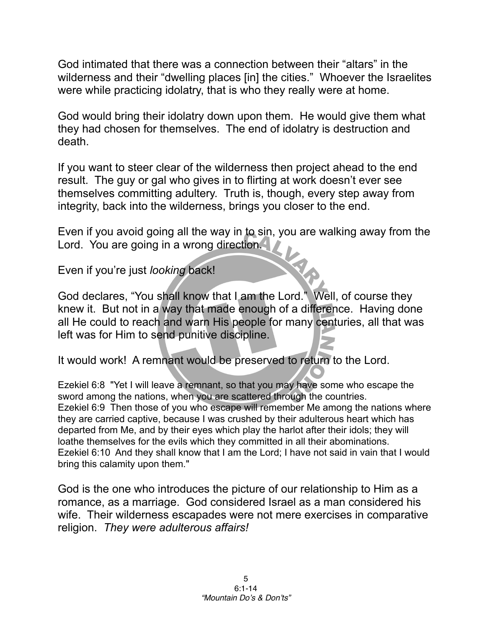God intimated that there was a connection between their "altars" in the wilderness and their "dwelling places [in] the cities." Whoever the Israelites were while practicing idolatry, that is who they really were at home.

God would bring their idolatry down upon them. He would give them what they had chosen for themselves. The end of idolatry is destruction and death.

If you want to steer clear of the wilderness then project ahead to the end result. The guy or gal who gives in to flirting at work doesn't ever see themselves committing adultery. Truth is, though, every step away from integrity, back into the wilderness, brings you closer to the end.

Even if you avoid going all the way in to sin, you are walking away from the Lord. You are going in a wrong direction.

Even if you're just *looking* back!

God declares, "You shall know that I am the Lord." Well, of course they knew it. But not in a way that made enough of a difference. Having done all He could to reach and warn His people for many centuries, all that was left was for Him to send punitive discipline.

It would work! A remnant would be preserved to return to the Lord.

Ezekiel 6:8 "Yet I will leave a remnant, so that you may have some who escape the sword among the nations, when you are scattered through the countries. Ezekiel 6:9 Then those of you who escape will remember Me among the nations where they are carried captive, because I was crushed by their adulterous heart which has departed from Me, and by their eyes which play the harlot after their idols; they will loathe themselves for the evils which they committed in all their abominations. Ezekiel 6:10 And they shall know that I am the Lord; I have not said in vain that I would bring this calamity upon them."

God is the one who introduces the picture of our relationship to Him as a romance, as a marriage. God considered Israel as a man considered his wife. Their wilderness escapades were not mere exercises in comparative religion. *They were adulterous affairs!*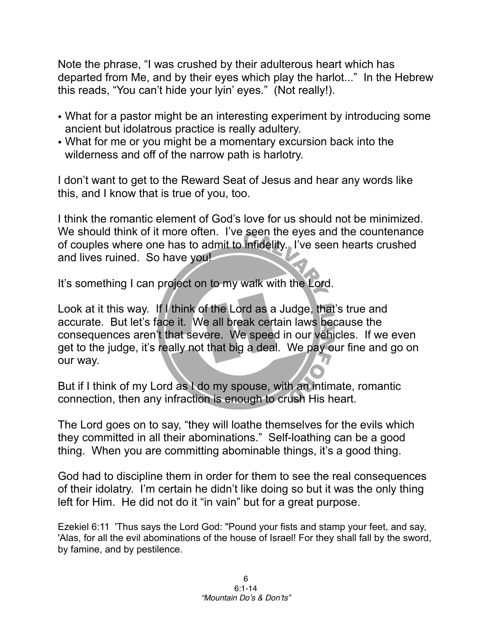Note the phrase, "I was crushed by their adulterous heart which has departed from Me, and by their eyes which play the harlot..." In the Hebrew this reads, "You can't hide your lyin' eyes." (Not really!).

- What for a pastor might be an interesting experiment by introducing some ancient but idolatrous practice is really adultery.
- What for me or you might be a momentary excursion back into the wilderness and off of the narrow path is harlotry.

I don't want to get to the Reward Seat of Jesus and hear any words like this, and I know that is true of you, too.

I think the romantic element of God's love for us should not be minimized. We should think of it more often. I've seen the eyes and the countenance of couples where one has to admit to infidelity. I've seen hearts crushed and lives ruined. So have you!

It's something I can project on to my walk with the Lord.

Look at it this way. If I think of the Lord as a Judge, that's true and accurate. But let's face it. We all break certain laws because the consequences aren't that severe. We speed in our vehicles. If we even get to the judge, it's really not that big a deal. We pay our fine and go on our way.

But if I think of my Lord as I do my spouse, with an intimate, romantic connection, then any infraction is enough to crush His heart.

The Lord goes on to say, "they will loathe themselves for the evils which they committed in all their abominations." Self-loathing can be a good thing. When you are committing abominable things, it's a good thing.

God had to discipline them in order for them to see the real consequences of their idolatry. I'm certain he didn't like doing so but it was the only thing left for Him. He did not do it "in vain" but for a great purpose.

Ezekiel 6:11 'Thus says the Lord God: "Pound your fists and stamp your feet, and say, 'Alas, for all the evil abominations of the house of Israel! For they shall fall by the sword, by famine, and by pestilence.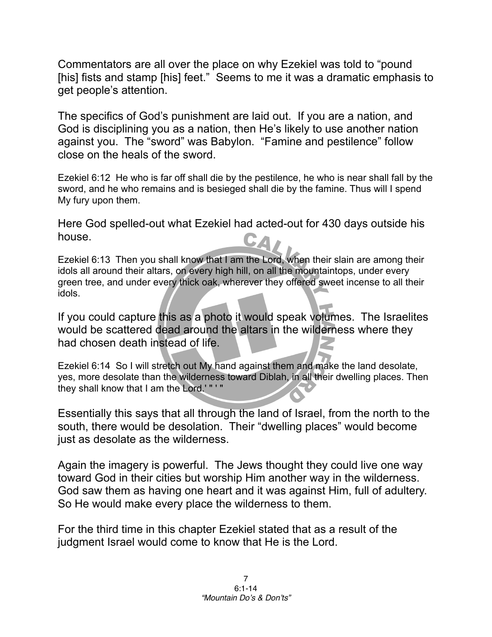Commentators are all over the place on why Ezekiel was told to "pound [his] fists and stamp [his] feet." Seems to me it was a dramatic emphasis to get people's attention.

The specifics of God's punishment are laid out. If you are a nation, and God is disciplining you as a nation, then He's likely to use another nation against you. The "sword" was Babylon. "Famine and pestilence" follow close on the heals of the sword.

Ezekiel 6:12 He who is far off shall die by the pestilence, he who is near shall fall by the sword, and he who remains and is besieged shall die by the famine. Thus will I spend My fury upon them.

Here God spelled-out what Ezekiel had acted-out for 430 days outside his house.

Ezekiel 6:13 Then you shall know that I am the Lord, when their slain are among their idols all around their altars, on every high hill, on all the mountaintops, under every green tree, and under every thick oak, wherever they offered sweet incense to all their idols.

If you could capture this as a photo it would speak volumes. The Israelites would be scattered dead around the altars in the wilderness where they had chosen death instead of life.

Ezekiel 6:14 So I will stretch out My hand against them and make the land desolate, yes, more desolate than the wilderness toward Diblah, in all their dwelling places. Then they shall know that I am the Lord.' " ' "

Essentially this says that all through the land of Israel, from the north to the south, there would be desolation. Their "dwelling places" would become just as desolate as the wilderness.

Again the imagery is powerful. The Jews thought they could live one way toward God in their cities but worship Him another way in the wilderness. God saw them as having one heart and it was against Him, full of adultery. So He would make every place the wilderness to them.

For the third time in this chapter Ezekiel stated that as a result of the judgment Israel would come to know that He is the Lord.